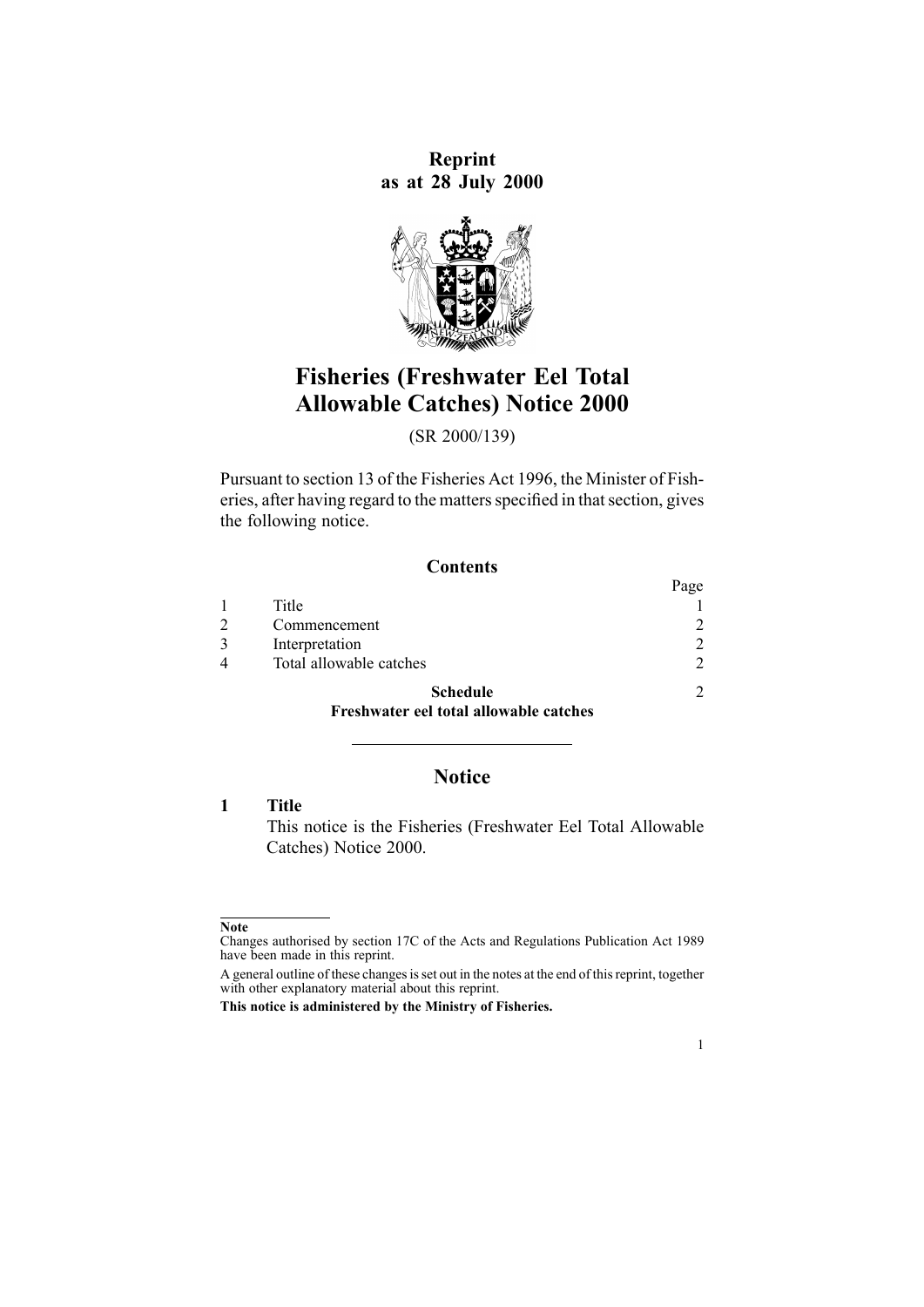**Reprint as at 28 July 2000**



# **Fisheries (Freshwater Eel Total Allowable Catches) Notice 2000**

(SR 2000/139)

Pursuant to [section](http://www.legislation.govt.nz/pdflink.aspx?id=DLM395507) 13 of the Fisheries Act 1996, the Minister of Fisheries, after having regard to the matters specified in that section, gives the following notice.

## **Contents**

|                         | Page          |
|-------------------------|---------------|
| Title                   |               |
| Commencement            | 2             |
| Interpretation          | $\mathcal{D}$ |
| Total allowable catches | っ             |
| <b>Schedule</b>         | C             |

## **[Freshwater](#page-1-0) eel total allowable catches**

## **Notice**

**1 Title**

This notice is the Fisheries (Freshwater Eel Total Allowable Catches) Notice 2000.

1

**Note**

Changes authorised by [section](http://www.legislation.govt.nz/pdflink.aspx?id=DLM195466) 17C of the Acts and Regulations Publication Act 1989 have been made in this reprint.

A general outline of these changes is set out in the notes at the end of this reprint, together with other explanatory material about this reprint.

**This notice is administered by the Ministry of Fisheries.**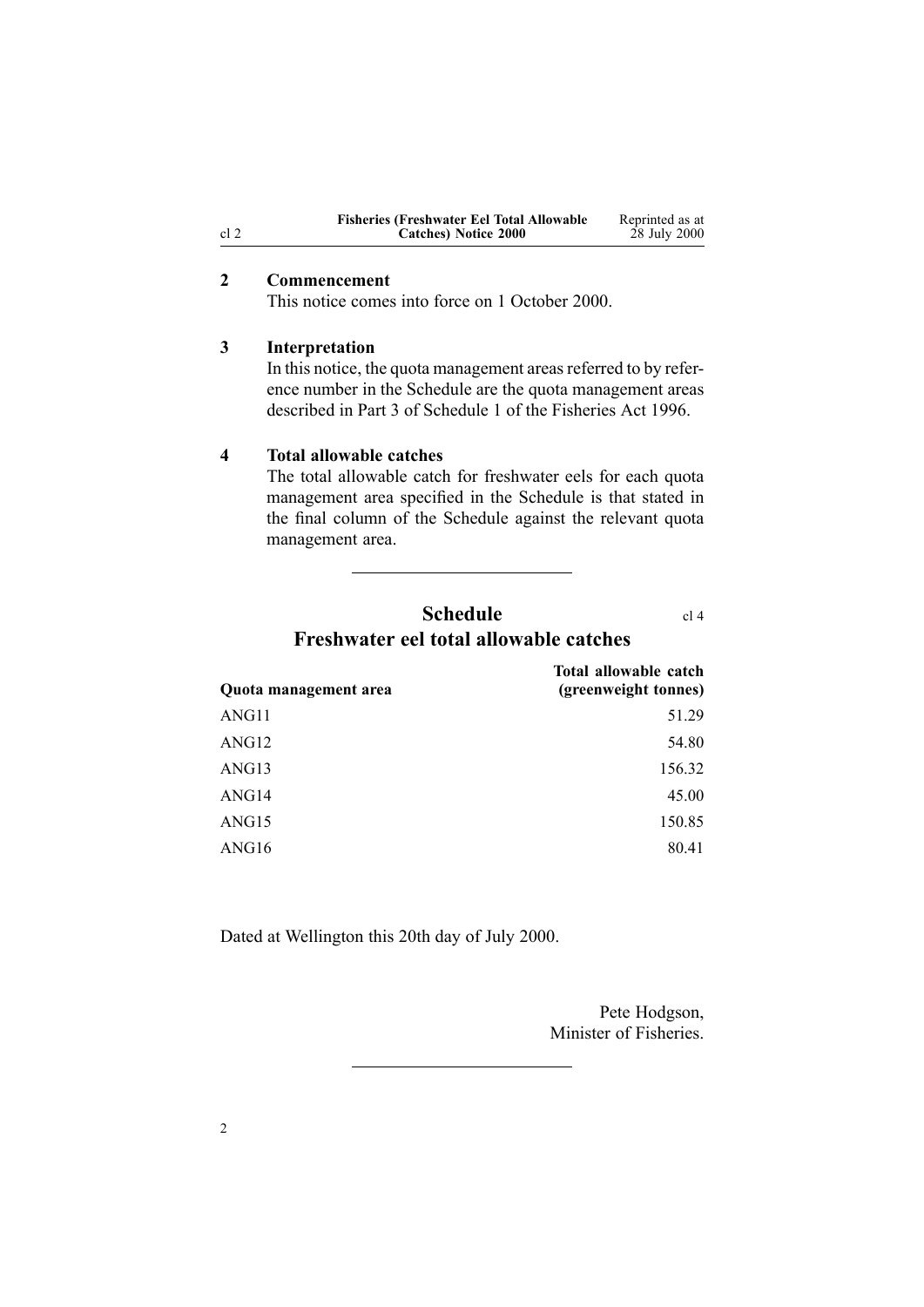| <b>Fisheries (Freshwater Eel Total Allowable)</b> | Reprinted as at |
|---------------------------------------------------|-----------------|
| Catches) Notice 2000                              | 28 July 2000    |

#### <span id="page-1-0"></span>**2 Commencement**

This notice comes into force on 1 October 2000.

#### **3 Interpretation**

In this notice, the quota management areas referred to by reference number in the Schedule are the quota managemen<sup>t</sup> areas described in [Part](http://www.legislation.govt.nz/pdflink.aspx?id=DLM401418) 3 of Schedule 1 of the Fisheries Act 1996.

#### **4 Total allowable catches**

The total allowable catch for freshwater eels for each quota managemen<sup>t</sup> area specified in the Schedule is that stated in the final column of the Schedule against the relevant quota management area.

## **Schedule** cl 4 **Freshwater eel total allowable catches**

**Quota management area Total allowable catch (greenweight tonnes)** ANG11 51.29  $\Delta$ NG12 54.80 ANG13 156.32 ANG14 45.00 ANG15 150.85 ANG16 80.41

Dated at Wellington this 20th day of July 2000.

Pete Hodgson, Minister of Fisheries.

2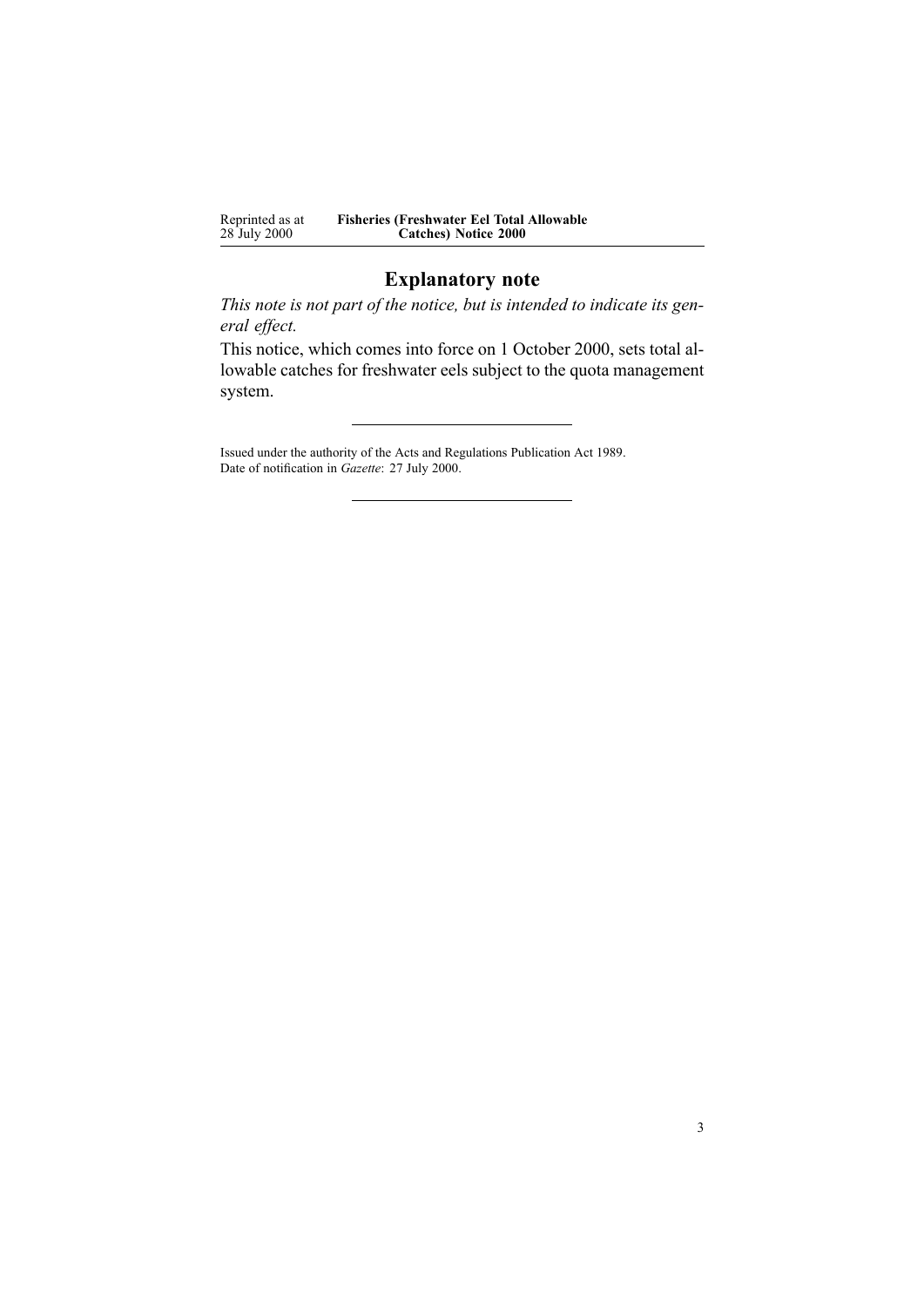| Reprinted as at | <b>Fisheries (Freshwater Eel Total Allowable</b> |
|-----------------|--------------------------------------------------|
| 28 July 2000    | <b>Catches</b> ) Notice 2000                     |

## **Explanatory note**

*This note is not par<sup>t</sup> of the notice, but is intended to indicate its general effect.*

This notice, which comes into force on 1 October 2000, sets total allowable catches for freshwater eels subject to the quota managemen<sup>t</sup> system.

Issued under the authority of the Acts and [Regulations](http://www.legislation.govt.nz/pdflink.aspx?id=DLM195097) Publication Act 1989. Date of notification in *Gazette*: 27 July 2000.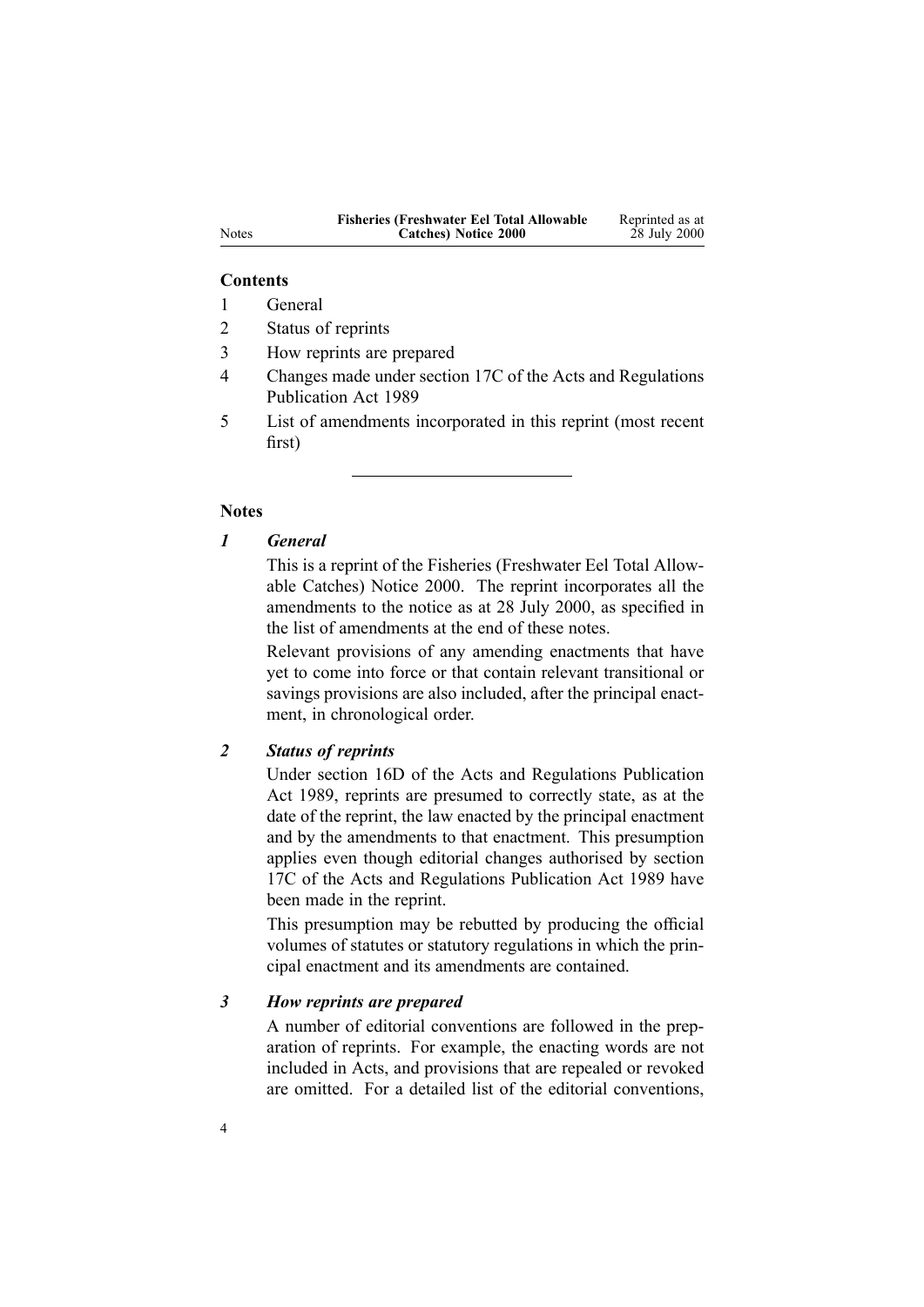| <b>Fisheries (Freshwater Eel Total Allowable)</b> | Reprinted as at |
|---------------------------------------------------|-----------------|
| Catches) Notice 2000                              | 28 July 2000    |

#### **Contents**

- 1 General
- 2 Status of reprints
- 3 How reprints are prepared
- 4 Changes made under section 17C of the Acts and Regulations Publication Act 1989
- 5 List of amendments incorporated in this reprint (most recent first)

#### **Notes**

## *1 General*

This is <sup>a</sup> reprint of the Fisheries (Freshwater Eel Total Allowable Catches) Notice 2000. The reprint incorporates all the amendments to the notice as at 28 July 2000, as specified in the list of amendments at the end of these notes.

Relevant provisions of any amending enactments that have ye<sup>t</sup> to come into force or that contain relevant transitional or savings provisions are also included, after the principal enactment, in chronological order.

## *2 Status of reprints*

Under [section](http://www.legislation.govt.nz/pdflink.aspx?id=DLM195439) 16D of the Acts and Regulations Publication Act 1989, reprints are presumed to correctly state, as at the date of the reprint, the law enacted by the principal enactment and by the amendments to that enactment. This presumption applies even though editorial changes authorised by [section](http://www.legislation.govt.nz/pdflink.aspx?id=DLM195466) [17C](http://www.legislation.govt.nz/pdflink.aspx?id=DLM195466) of the Acts and Regulations Publication Act 1989 have been made in the reprint.

This presumption may be rebutted by producing the official volumes of statutes or statutory regulations in which the principal enactment and its amendments are contained.

## *3 How reprints are prepared*

A number of editorial conventions are followed in the preparation of reprints. For example, the enacting words are not included in Acts, and provisions that are repealed or revoked are omitted. For <sup>a</sup> detailed list of the editorial conventions,

Notes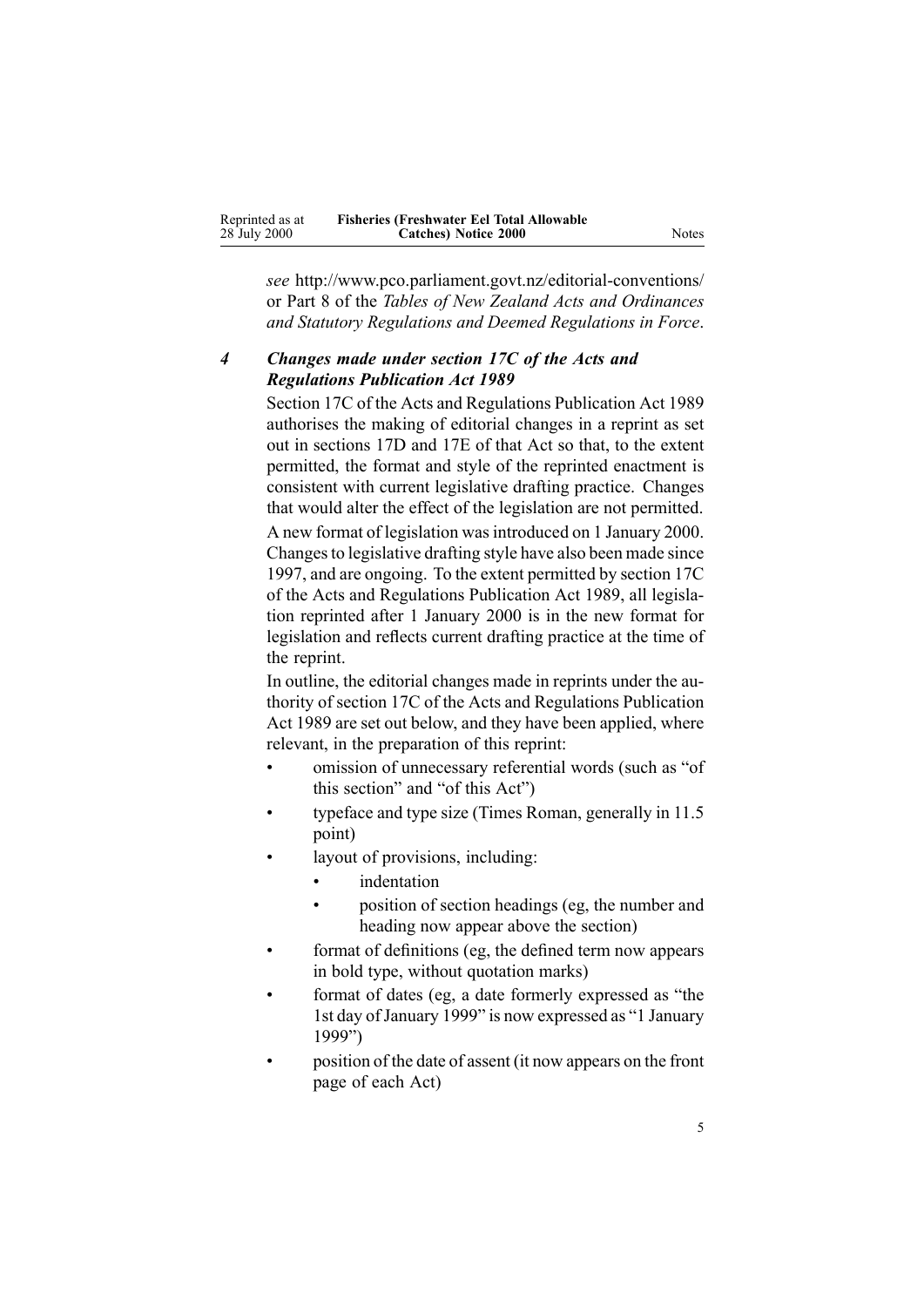| Reprinted as at | <b>Fisheries (Freshwater Eel Total Allowable</b> |       |
|-----------------|--------------------------------------------------|-------|
| 28 July 2000    | Catches) Notice 2000                             | Notes |

*see* http://www.pco.parliament.govt.nz/editorial-conventions/ or Part 8 of the *Tables of New Zealand Acts and Ordinances and Statutory Regulations and Deemed Regulations in Force*.

## *4 Changes made under section 17C of the Acts and Regulations Publication Act 1989*

[Section](http://www.legislation.govt.nz/pdflink.aspx?id=DLM195466) 17C of the Acts and Regulations Publication Act 1989 authorises the making of editorial changes in <sup>a</sup> reprint as set out in [sections](http://www.legislation.govt.nz/pdflink.aspx?id=DLM195468) 17D and [17E](http://www.legislation.govt.nz/pdflink.aspx?id=DLM195470) of that Act so that, to the extent permitted, the format and style of the reprinted enactment is consistent with current legislative drafting practice. Changes that would alter the effect of the legislation are not permitted. A new format of legislation wasintroduced on 1 January 2000. Changesto legislative drafting style have also been made since 1997, and are ongoing. To the extent permitted by [section](http://www.legislation.govt.nz/pdflink.aspx?id=DLM195466) 17C of the Acts and Regulations Publication Act 1989, all legislation reprinted after 1 January 2000 is in the new format for legislation and reflects current drafting practice at the time of the reprint.

In outline, the editorial changes made in reprints under the authority of [section](http://www.legislation.govt.nz/pdflink.aspx?id=DLM195466) 17C of the Acts and Regulations Publication Act 1989 are set out below, and they have been applied, where relevant, in the preparation of this reprint:

- • omission of unnecessary referential words (such as "of this section" and "of this Act")
- • typeface and type size (Times Roman, generally in 11.5 point)
- • layout of provisions, including:
	- •indentation

•

- • position of section headings (eg, the number and heading now appear above the section)
- format of definitions (eg, the defined term now appears in bold type, without quotation marks)
- • format of dates (eg, <sup>a</sup> date formerly expressed as "the 1st day of January 1999" is now expressed as "1 January 1999")
- • position of the date of assent (it now appears on the front page of each Act)